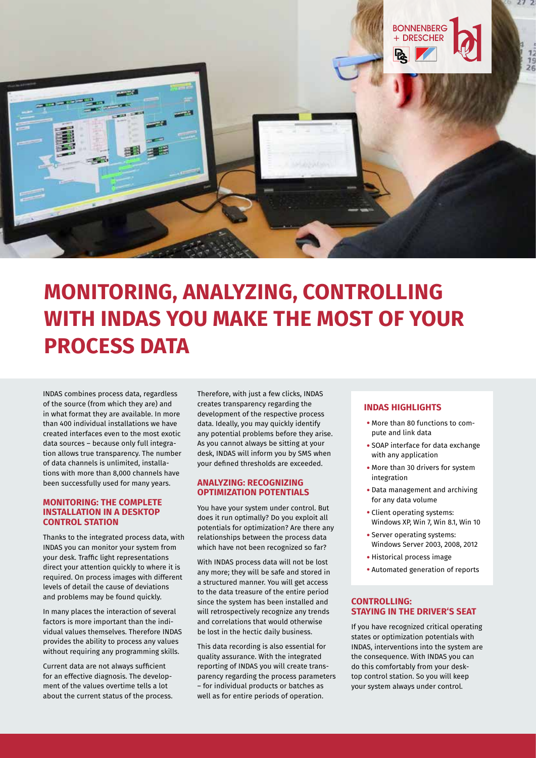

# **MONITORING, ANALYZING, CONTROLLING WITH INDAS YOU MAKE THE MOST OF YOUR PROCESS DATA**

INDAS combines process data, regardless of the source (from which they are) and in what format they are available. In more than 400 individual installations we have created interfaces even to the most exotic data sources – because only full integration allows true transparency. The number of data channels is unlimited, installations with more than 8,000 channels have been successfully used for many years.

#### **MONITORING: THE COMPLETE INSTALLATION IN A DESKTOP CONTROL STATION**

Thanks to the integrated process data, with INDAS you can monitor your system from your desk. Traffic light representations direct your attention quickly to where it is required. On process images with different levels of detail the cause of deviations and problems may be found quickly.

In many places the interaction of several factors is more important than the individual values themselves. Therefore INDAS provides the ability to process any values without requiring any programming skills.

Current data are not always sufficient for an effective diagnosis. The development of the values overtime tells a lot about the current status of the process.

Therefore, with just a few clicks, INDAS creates transparency regarding the development of the respective process data. Ideally, you may quickly identify any potential problems before they arise. As you cannot always be sitting at your desk, INDAS will inform you by SMS when your defined thresholds are exceeded.

#### **ANALYZING: RECOGNIZING OPTIMIZATION POTENTIALS**

You have your system under control. But does it run optimally? Do you exploit all potentials for optimization? Are there any relationships between the process data which have not been recognized so far?

With INDAS process data will not be lost any more; they will be safe and stored in a structured manner. You will get access to the data treasure of the entire period since the system has been installed and will retrospectively recognize any trends and correlations that would otherwise be lost in the hectic daily business.

This data recording is also essential for quality assurance. With the integrated reporting of INDAS you will create transparency regarding the process parameters – for individual products or batches as well as for entire periods of operation.

## **INDAS HIGHLIGHTS**

- More than 80 functions to compute and link data
- SOAP interface for data exchange with any application
- More than 30 drivers for system integration
- Data management and archiving for any data volume
- Client operating systems: Windows XP, Win 7, Win 8.1, Win 10
- Server operating systems: Windows Server 2003, 2008, 2012
- Historical process image
- Automated generation of reports

### **CONTROLLING: STAYING IN THE DRIVER'S SEAT**

If you have recognized critical operating states or optimization potentials with INDAS, interventions into the system are the consequence. With INDAS you can do this comfortably from your desktop control station. So you will keep your system always under control.